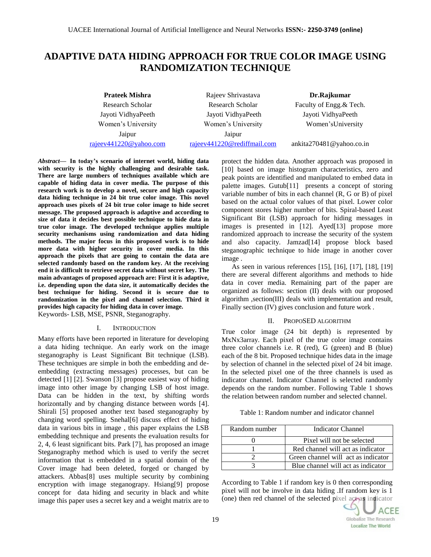# **ADAPTIVE DATA HIDING APPROACH FOR TRUE COLOR IMAGE USING RANDOMIZATION TECHNIQUE**

**Prateek Mishra Rajeev Shrivastava Dr.Rajkumar** Research Scholar Research Scholar Faculty of Engg. & Tech. Jayoti VidhyaPeeth Jayoti VidhyaPeeth Jayoti VidhyaPeeth Women's University Women's University Women'sUniversity Jaipur Jaipur [rajeev441220@yahoo.com](mailto:rajeev441220@yahoo.com) [rajeev441220@rediffmail.com](mailto:rajeev441220@rediffmail.com) ankita270481@yahoo.co.in

*Abstract—* **In today's scenario of internet world, hiding data with security is the highly challenging and desirable task. There are large numbers of techniques available which are capable of hiding data in cover media. The purpose of this research work is to develop a novel, secure and high capacity data hiding technique in 24 bit true color image. This novel approach uses pixels of 24 bit true color image to hide secret message. The proposed approach is adaptive and according to size of data it decides best possible technique to hide data in true color image. The developed technique applies multiple security mechanisms using randomization and data hiding methods. The major focus in this proposed work is to hide more data with higher security in cover media. In this approach the pixels that are going to contain the data are selected randomly based on the random key. At the receiving end it is difficult to retrieve secret data without secret key. The main advantages of proposed approach are: First it is adaptive, i.e. depending upon the data size, it automatically decides the best technique for hiding. Second it is secure due to randomization in the pixel and channel selection. Third it provides high capacity for hiding data in cover image.** Keywords- LSB, MSE, PSNR, Steganography.

#### I. INTRODUCTION

Many efforts have been reported in literature for developing a data hiding technique. An early work on the image steganography is Least Significant Bit technique (LSB). These techniques are simple in both the embedding and deembedding (extracting messages) processes, but can be detected [1] [2]. Swanson [3] propose easiest way of hiding image into other image by changing LSB of host image. Data can be hidden in the text, by shifting words horizontally and by changing distance between words [4]. Shirali [5] proposed another text based steganography by changing word spelling. Snehal[6] discuss effect of hiding data in various bits in image , this paper explains the LSB embedding technique and presents the evaluation results for 2, 4, 6 least significant bits. Park [7], has proposed an image Steganography method which is used to verify the secret information that is embedded in a spatial domain of the Cover image had been deleted, forged or changed by attackers. Abbas[8] uses multiple security by combining encryption with image steganograpy. Hsiang[9] propose concept for data hiding and security in black and white image this paper uses a secret key and a weight matrix are to

protect the hidden data. Another approach was proposed in [10] based on image histogram characteristics, zero and peak points are identified and manipulated to embed data in palette images. Gutub[11] presents a concept of storing variable number of bits in each channel (R, G or B) of pixel based on the actual color values of that pixel. Lower color component stores higher number of bits. Spiral-based Least Significant Bit (LSB) approach for hiding messages in images is presented in [12]. Ayed[13] propose more randomized approach to increase the security of the system and also capacity. Jamzad[14] propose block based steganographic technique to hide image in another cover image .

As seen in various references [15], [16], [17], [18], [19] there are several different algorithms and methods to hide data in cover media. Remaining part of the paper are organized as follows: section (II) deals with our proposed algorithm ,section(III) deals with implementation and result, Finally section (IV) gives conclusion and future work .

#### II. PROPOSED ALGORITHM

True color image (24 bit depth) is represented by MxNx3array. Each pixel of the true color image contains three color channels i.e. R (red), G (green) and B (blue) each of the 8 bit. Proposed technique hides data in the image by selection of channel in the selected pixel of 24 bit image. In the selected pixel one of the three channels is used as indicator channel. Indicator Channel is selected randomly depends on the random number. Following Table 1 shows the relation between random number and selected channel.

| Table 1: Random number and indicator channel |  |
|----------------------------------------------|--|
|----------------------------------------------|--|

| Random number | Indicator Channel                   |
|---------------|-------------------------------------|
|               | Pixel will not be selected          |
|               | Red channel will act as indicator   |
|               | Green channel will act as indicator |
|               | Blue channel will act as indicator  |

According to Table 1 if random key is 0 then corresponding pixel will not be involve in data hiding .If random key is 1 (one) then red channel of the selected pixel act as indicator

**ACEE Globalize The Research Localize The World**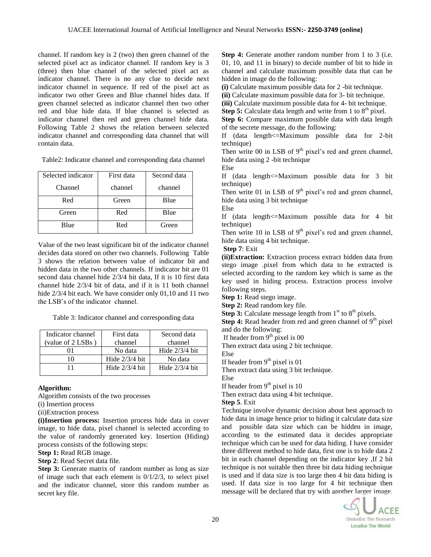channel. If random key is 2 (two) then green channel of the selected pixel act as indicator channel. If random key is 3 (three) then blue channel of the selected pixel act as indicator channel. There is no any clue to decide next indicator channel in sequence. If red of the pixel act as indicator two other Green and Blue channel hides data. If green channel selected as indicator channel then two other red and blue hide data. If blue channel is selected as indicator channel then red and green channel hide data. Following Table 2 shows the relation between selected indicator channel and corresponding data channel that will contain data.

Table2: Indicator channel and corresponding data channel

| Selected indicator | First data | Second data |  |
|--------------------|------------|-------------|--|
| Channel            | channel    | channel     |  |
| Red                | Green      | Blue        |  |
| Green              | Red        | Blue        |  |
| Blue               | Red        | Green       |  |

Value of the two least significant bit of the indicator channel decides data stored on other two channels. Following Table 3 shows the relation between value of indicator bit and hidden data in the two other channels. If indicator bit are 01 second data channel hide 2/3/4 bit data, If it is 10 first data channel hide 2/3/4 bit of data, and if it is 11 both channel hide 2/3/4 bit each. We have consider only 01,10 and 11 two the LSB's of the indicator channel.

Table 3: Indicator channel and corresponding data

| Indicator channel | First data       | Second data      |  |
|-------------------|------------------|------------------|--|
| (value of 2 LSBs) | channel          | channel          |  |
|                   | No data          | Hide $2/3/4$ bit |  |
| I٥                | Hide $2/3/4$ bit | No data          |  |
| 11                | Hide $2/3/4$ bit | Hide $2/3/4$ bit |  |

## **Algorithm:**

Algorithm consists of the two processes

(i) Insertion process

(ii)Extraction process

**(i)Insertion process:** Insertion process hide data in cover image, to hide data, pixel channel is selected according to the value of randomly generated key. Insertion (Hiding) process consists of the following steps:

**Step 1:** Read RGB image.

**Step 2**: Read Secret data file.

**Step 3:** Generate matrix of random number as long as size of image such that each element is 0/1/2/3, to select pixel and the indicator channel, store this random number as secret key file.

**Step 4:** Generate another random number from 1 to 3 (i.e. 01, 10, and 11 in binary) to decide number of bit to hide in channel and calculate maximum possible data that can be hidden in image do the following:

**(i)** Calculate maximum possible data for 2 -bit technique.

**(ii)** Calculate maximum possible data for 3- bit technique.

**(iii)** Calculate maximum possible data for 4- bit technique.

**Step 5:** Calculate data length and write from 1 to 8<sup>th</sup> pixel.

**Step 6:** Compare maximum possible data with data length of the secrete message, do the following:

If (data length<=Maximum possible data for 2-bit technique)

Then write 00 in LSB of  $9<sup>th</sup>$  pixel's red and green channel, hide data using 2 -bit technique

Else

If (data length<=Maximum possible data for 3 bit technique)

Then write 01 in LSB of  $9<sup>th</sup>$  pixel's red and green channel, hide data using 3 bit technique

Else

If (data length<=Maximum possible data for 4 bit technique)

Then write 10 in LSB of  $9<sup>th</sup>$  pixel's red and green channel, hide data using 4 bit technique.

**Step 7**: Exit

**(ii)Extraction:** Extraction process extract hidden data from stego image .pixel from which data to be extracted is selected according to the random key which is same as the key used in hiding process. Extraction process involve following steps.

**Step 1:** Read stego image.

**Step 2:** Read random key file.

**Step 3:** Calculate message length from  $1<sup>st</sup>$  to  $8<sup>th</sup>$  pixels.

**Step 4:** Read header from red and green channel of 9<sup>th</sup> pixel and do the following:

If header from  $9<sup>th</sup>$  pixel is 00

Then extract data using 2 bit technique.

Else

If header from  $9<sup>th</sup>$  pixel is 01

Then extract data using 3 bit technique.

Else

If header from  $9<sup>th</sup>$  pixel is  $10$ 

Then extract data using 4 bit technique.

**Step 5**. Exit

Technique involve dynamic decision about best approach to hide data in image hence prior to hiding it calculate data size and possible data size which can be hidden in image, according to the estimated data it decides appropriate technique which can be used for data hiding. I have consider three different method to hide data, first one is to hide data 2 bit in each channel depending on the indicator key ,If 2 bit technique is not suitable then three bit data hiding technique is used and if data size is too large then 4 bit data hiding is used. If data size is too large for 4 bit technique then message will be declared that try with another larger image.

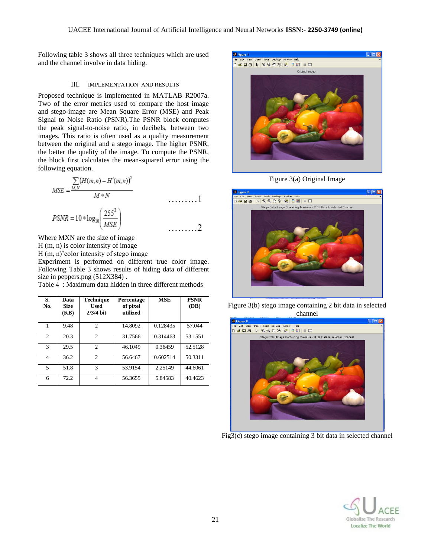Following table 3 shows all three techniques which are used and the channel involve in data hiding.

#### III. IMPLEMENTATION AND RESULTS

Proposed technique is implemented in MATLAB R2007a. Two of the error metrics used to compare the host image and stego-image are Mean Square Error (MSE) and Peak Signal to Noise Ratio (PSNR).The PSNR block computes the peak signal-to-noise ratio, in decibels, between two images. This ratio is often used as a quality measurement between the original and a stego image. The higher PSNR, the better the quality of the image. To compute the PSNR, the block first calculates the mean-squared error using the following equation.

$$
MSE = \frac{\sum_{M,N} (H(m,n) - H'(m,n))^2}{M*N}
$$
  
 
$$
PSNR = 10 * log_{10} \left(\frac{255^2}{MSE}\right)
$$

Where MXN are the size of image H (m, n) is color intensity of image H (m, n)'color intensity of stego image Experiment is performed on different true color image. Following Table 3 shows results of hiding data of different size in peppers.png (512X384).

Table 4 : Maximum data hidden in three different methods

| S.<br>No.      | Data<br><b>Size</b><br>(KB) | <b>Technique</b><br><b>Used</b><br>$2/3/4$ bit | <b>Percentage</b><br>of pixel<br>utilized | <b>MSE</b> | <b>PSNR</b><br>(DB) |
|----------------|-----------------------------|------------------------------------------------|-------------------------------------------|------------|---------------------|
| 1              | 9.48                        | $\mathcal{D}_{\mathcal{L}}$                    | 14.8092                                   | 0.128435   | 57.044              |
| $\overline{c}$ | 20.3                        | $\mathfrak{D}$                                 | 31.7566                                   | 0.314463   | 53.1551             |
| $\mathcal{R}$  | 29.5                        | $\mathfrak{D}$                                 | 46.1049                                   | 0.36459    | 52.5128             |
| 4              | 36.2                        | $\mathcal{D}_{\mathcal{L}}$                    | 56.6467                                   | 0.602514   | 50.3311             |
| 5              | 51.8                        | 3                                              | 53.9154                                   | 2.25149    | 44.6061             |
| 6              | 72.2                        | 4                                              | 56.3655                                   | 5.84583    | 40.4623             |



Figure 3(a) Original Image



Figure 3(b) stego image containing 2 bit data in selected channel



Fig3(c) stego image containing 3 bit data in selected channel

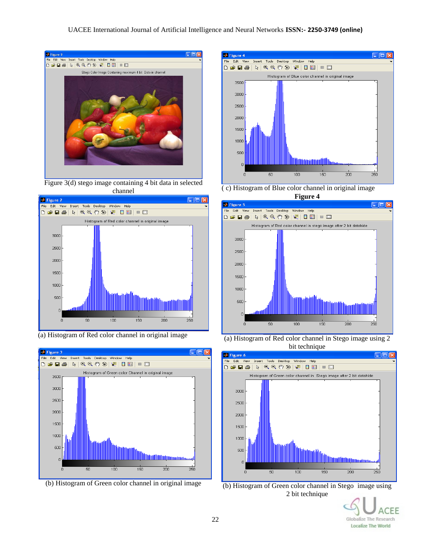#### UACEE International Journal of Artificial Intelligence and Neural Networks **ISSN:- 2250-3749 (online)**



Figure 3(d) stego image containing 4 bit data in selected channel



(a) Histogram of Red color channel in original image







( c) Histogram of Blue color channel in original image



(a) Histogram of Red color channel in Stego image using 2 bit technique



(b) Histogram of Green color channel in Stego image using 2 bit technique

EF Globalize The Research **Localize The World**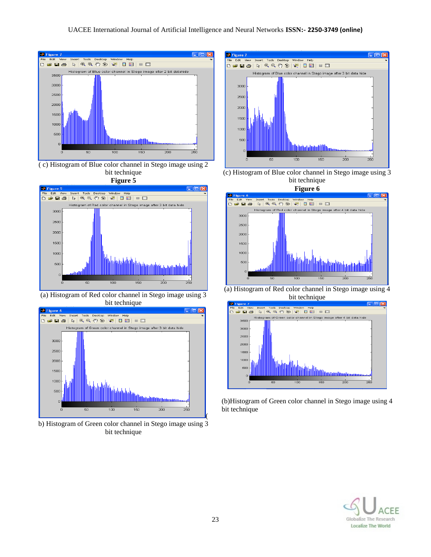

( c) Histogram of Blue color channel in Stego image using 2 bit technique





(a) Histogram of Red color channel in Stego image using 3 bit technique



b) Histogram of Green color channel in Stego image using 3 bit technique



(c) Histogram of Blue color channel in Stego image using 3 bit technique



(a) Histogram of Red color channel in Stego image using 4 bit technique



(b)Histogram of Green color channel in Stego image using 4 bit technique